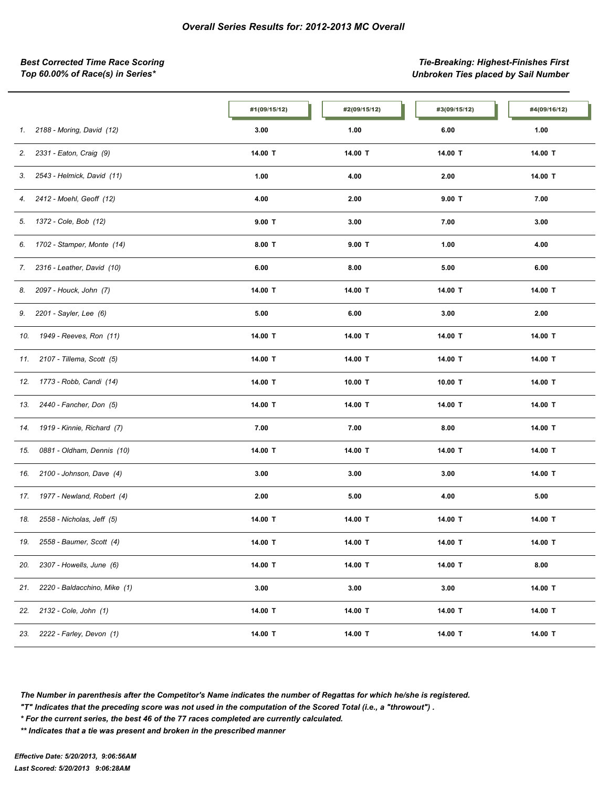*Best Corrected Time Race Scoring Tie-Breaking: Highest-Finishes First Top 60.00% of Race(s) in Series\* Unbroken Ties placed by Sail Number*

|                                     | #1(09/15/12) | #2(09/15/12) | #3(09/15/12) | #4(09/16/12) |
|-------------------------------------|--------------|--------------|--------------|--------------|
| 2188 - Moring, David (12)<br>1.     | 3.00         | 1.00         | 6.00         | 1.00         |
| 2331 - Eaton, Craig (9)<br>2.       | 14.00 T      | 14.00 T      | 14.00 T      | 14.00 T      |
| 2543 - Helmick, David (11)<br>3.    | 1.00         | 4.00         | 2.00         | 14.00 T      |
| 2412 - Moehl, Geoff (12)<br>4.      | 4.00         | 2.00         | $9.00$ T     | 7.00         |
| 1372 - Cole, Bob (12)<br>5.         | $9.00$ T     | 3.00         | 7.00         | 3.00         |
| 1702 - Stamper, Monte (14)<br>6.    | $8.00$ T     | $9.00$ T     | 1.00         | 4.00         |
| 2316 - Leather, David (10)<br>7.    | 6.00         | 8.00         | 5.00         | 6.00         |
| 2097 - Houck, John (7)<br>8.        | 14.00 T      | 14.00 T      | 14.00 T      | 14.00 T      |
| 2201 - Sayler, Lee (6)<br>9.        | 5.00         | 6.00         | 3.00         | 2.00         |
| 1949 - Reeves, Ron (11)<br>10.      | 14.00 T      | 14.00 T      | 14.00 T      | 14.00 T      |
| 2107 - Tillema, Scott (5)<br>11.    | 14.00 T      | 14.00 T      | 14.00 T      | 14.00 T      |
| 1773 - Robb, Candi (14)<br>12.      | 14.00 T      | 10.00 T      | 10.00 T      | 14.00 T      |
| 2440 - Fancher, Don (5)<br>13.      | 14.00 T      | 14.00 T      | 14.00 T      | 14.00 T      |
| 1919 - Kinnie, Richard (7)<br>14.   | 7.00         | 7.00         | 8.00         | 14.00 T      |
| 0881 - Oldham, Dennis (10)<br>15.   | 14.00 T      | 14.00 T      | 14.00 T      | 14.00 T      |
| 2100 - Johnson, Dave (4)<br>16.     | 3.00         | 3.00         | 3.00         | 14.00 T      |
| 1977 - Newland, Robert (4)<br>17.   | 2.00         | 5.00         | 4.00         | 5.00         |
| 2558 - Nicholas, Jeff (5)<br>18.    | 14.00 T      | 14.00 T      | 14.00 T      | 14.00 T      |
| 2558 - Baumer, Scott (4)<br>19.     | 14.00 T      | 14.00 T      | 14.00 T      | 14.00 T      |
| 2307 - Howells, June (6)<br>20.     | 14.00 T      | 14.00 T      | 14.00 T      | 8.00         |
| 2220 - Baldacchino, Mike (1)<br>21. | 3.00         | 3.00         | 3.00         | 14.00 T      |
| 2132 - Cole, John (1)<br>22.        | 14.00 T      | 14.00 T      | 14.00 T      | 14.00 T      |
| 2222 - Farley, Devon (1)<br>23.     | 14.00 T      | 14.00 T      | 14.00 T      | 14.00 T      |

*The Number in parenthesis after the Competitor's Name indicates the number of Regattas for which he/she is registered.*

*"T" Indicates that the preceding score was not used in the computation of the Scored Total (i.e., a "throwout") .*

*\* For the current series, the best 46 of the 77 races completed are currently calculated.*

*\*\* Indicates that a tie was present and broken in the prescribed manner*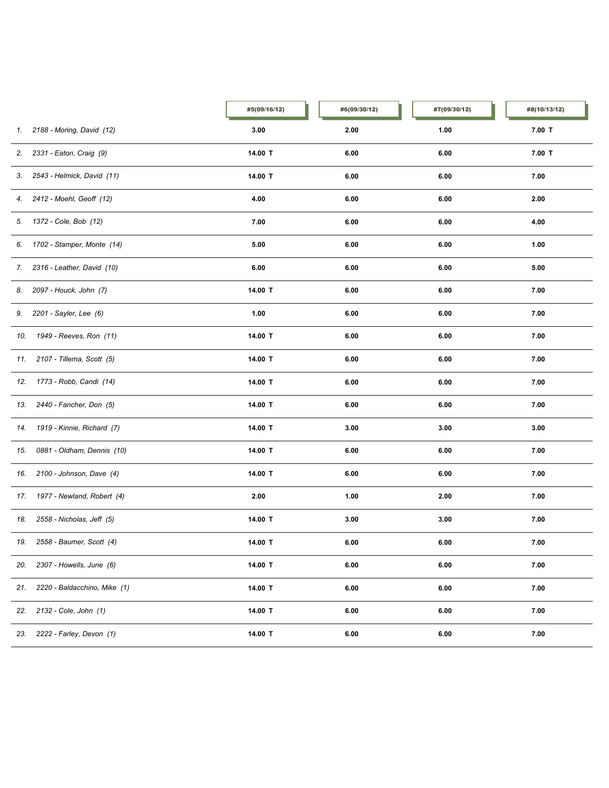|     |                                | #5(09/16/12) | #6(09/30/12) | #7(09/30/12) | #8(10/13/12) |
|-----|--------------------------------|--------------|--------------|--------------|--------------|
| 1.  | 2188 - Moring, David (12)      | 3.00         | 2.00         | 1.00         | $7.00$ T     |
|     | 2. 2331 - Eaton, Craig (9)     | 14.00 T      | 6.00         | 6.00         | $7.00$ T     |
|     | 3. 2543 - Helmick, David (11)  | 14.00 T      | 6.00         | 6.00         | 7.00         |
|     | 4. 2412 - Moehl, Geoff (12)    | 4.00         | 6.00         | 6.00         | 2.00         |
|     | 5. 1372 - Cole, Bob (12)       | 7.00         | 6.00         | 6.00         | 4.00         |
|     | 6. 1702 - Stamper, Monte (14)  | 5.00         | 6.00         | 6.00         | 1.00         |
|     | 7. 2316 - Leather, David (10)  | 6.00         | 6.00         | 6.00         | 5.00         |
|     | 8. 2097 - Houck, John (7)      | 14.00 T      | 6.00         | 6.00         | 7.00         |
|     | 9. 2201 - Sayler, Lee (6)      | 1.00         | 6.00         | 6.00         | 7.00         |
|     | 10. 1949 - Reeves, Ron (11)    | 14.00 T      | 6.00         | 6.00         | 7.00         |
|     | 11. 2107 - Tillema, Scott (5)  | 14.00 T      | 6.00         | 6.00         | 7.00         |
|     | 12. 1773 - Robb, Candi (14)    | 14.00 T      | 6.00         | 6.00         | 7.00         |
| 13. | 2440 - Fancher, Don (5)        | 14.00 T      | 6.00         | 6.00         | 7.00         |
| 14. | 1919 - Kinnie, Richard (7)     | 14.00 T      | 3.00         | 3.00         | 3.00         |
| 15. | 0881 - Oldham, Dennis (10)     | 14.00 T      | 6.00         | 6.00         | 7.00         |
| 16. | 2100 - Johnson, Dave (4)       | 14.00 T      | 6.00         | 6.00         | 7.00         |
|     | 17. 1977 - Newland, Robert (4) | 2.00         | 1.00         | 2.00         | 7.00         |
| 18. | 2558 - Nicholas, Jeff (5)      | 14.00 T      | 3.00         | 3.00         | 7.00         |
| 19. | 2558 - Baumer, Scott (4)       | 14.00 T      | 6.00         | 6.00         | 7.00         |
| 20. | 2307 - Howells, June (6)       | 14.00 T      | 6.00         | 6.00         | 7.00         |
| 21. | 2220 - Baldacchino, Mike (1)   | 14.00 T      | 6.00         | 6.00         | 7.00         |
| 22. | 2132 - Cole, John (1)          | 14.00 T      | 6.00         | 6.00         | 7.00         |
| 23. | 2222 - Farley, Devon (1)       | 14.00 T      | 6.00         | 6.00         | 7.00         |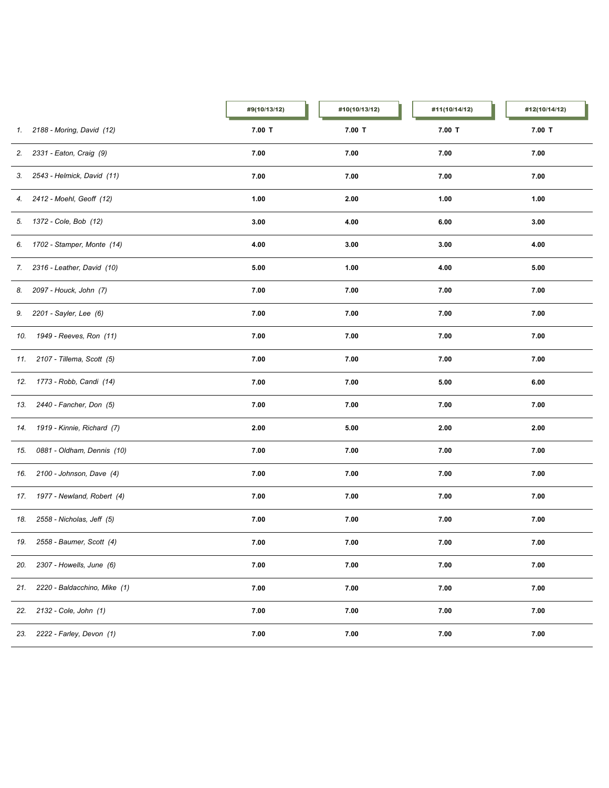|     |                                | #9(10/13/12) | #10(10/13/12) | #11(10/14/12) | #12(10/14/12) |
|-----|--------------------------------|--------------|---------------|---------------|---------------|
|     | 1. 2188 - Moring, David (12)   | $7.00$ T     | $7.00$ T      | $7.00$ T      | $7.00$ T      |
|     | 2. 2331 - Eaton, Craig (9)     | 7.00         | 7.00          | 7.00          | 7.00          |
|     | 3. 2543 - Helmick, David (11)  | 7.00         | 7.00          | 7.00          | 7.00          |
|     | 4. 2412 - Moehl, Geoff (12)    | 1.00         | 2.00          | 1.00          | 1.00          |
|     | 5. 1372 - Cole, Bob (12)       | 3.00         | 4.00          | 6.00          | 3.00          |
|     | 6. 1702 - Stamper, Monte (14)  | 4.00         | 3.00          | 3.00          | 4.00          |
|     | 7. 2316 - Leather, David (10)  | 5.00         | 1.00          | 4.00          | 5.00          |
|     | 8. 2097 - Houck, John (7)      | 7.00         | 7.00          | 7.00          | 7.00          |
|     | 9. 2201 - Sayler, Lee (6)      | 7.00         | 7.00          | 7.00          | 7.00          |
|     | 10. 1949 - Reeves, Ron (11)    | 7.00         | 7.00          | 7.00          | 7.00          |
|     | 11. 2107 - Tillema, Scott (5)  | 7.00         | 7.00          | 7.00          | 7.00          |
|     | 12. 1773 - Robb, Candi (14)    | 7.00         | 7.00          | 5.00          | 6.00          |
| 13. | 2440 - Fancher, Don (5)        | 7.00         | 7.00          | 7.00          | 7.00          |
|     | 14. 1919 - Kinnie, Richard (7) | 2.00         | 5.00          | 2.00          | 2.00          |
| 15. | 0881 - Oldham, Dennis (10)     | 7.00         | 7.00          | 7.00          | 7.00          |
| 16. | 2100 - Johnson, Dave (4)       | 7.00         | 7.00          | 7.00          | 7.00          |
|     | 17. 1977 - Newland, Robert (4) | 7.00         | 7.00          | 7.00          | 7.00          |
| 18. | 2558 - Nicholas, Jeff (5)      | 7.00         | 7.00          | 7.00          | 7.00          |
| 19. | 2558 - Baumer, Scott (4)       | 7.00         | 7.00          | 7.00          | 7.00          |
| 20. | 2307 - Howells, June (6)       | 7.00         | 7.00          | 7.00          | 7.00          |
| 21. | 2220 - Baldacchino, Mike (1)   | 7.00         | 7.00          | 7.00          | 7.00          |
| 22. | 2132 - Cole, John (1)          | 7.00         | 7.00          | 7.00          | 7.00          |
| 23. | 2222 - Farley, Devon (1)       | 7.00         | 7.00          | 7.00          | 7.00          |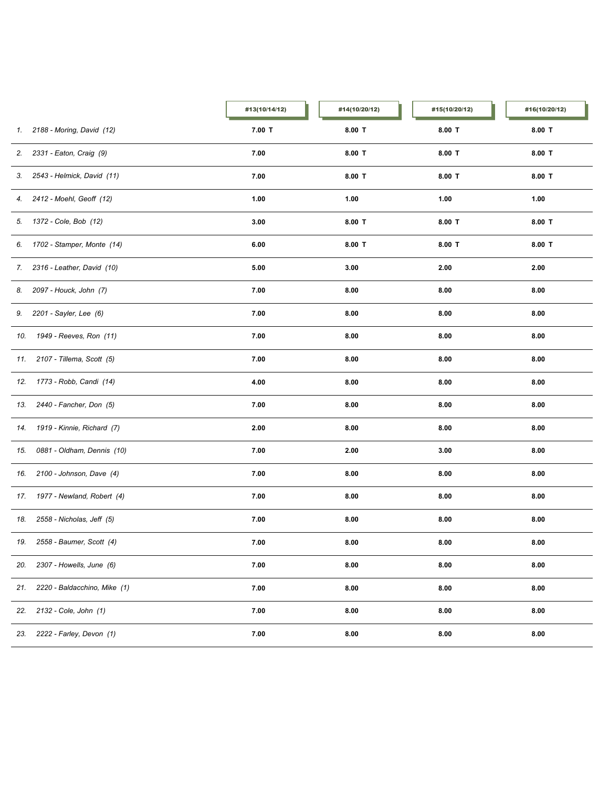|     |                                | #13(10/14/12) | #14(10/20/12) | #15(10/20/12) | #16(10/20/12) |
|-----|--------------------------------|---------------|---------------|---------------|---------------|
|     | 1. 2188 - Moring, David (12)   | $7.00$ T      | $8.00$ T      | $8.00$ T      | $8.00$ T      |
|     | 2. 2331 - Eaton, Craig (9)     | 7.00          | $8.00$ T      | $8.00$ T      | $8.00$ T      |
|     | 3. 2543 - Helmick, David (11)  | 7.00          | $8.00$ T      | $8.00$ T      | $8.00$ T      |
|     | 4. 2412 - Moehl, Geoff (12)    | 1.00          | 1.00          | 1.00          | 1.00          |
|     | 5. 1372 - Cole, Bob (12)       | 3.00          | $8.00$ T      | $8.00$ T      | $8.00$ T      |
|     | 6. 1702 - Stamper, Monte (14)  | 6.00          | $8.00$ T      | 8.00 T        | $8.00$ T      |
|     | 7. 2316 - Leather, David (10)  | 5.00          | 3.00          | 2.00          | 2.00          |
|     | 8. 2097 - Houck, John (7)      | 7.00          | 8.00          | 8.00          | 8.00          |
|     | 9. 2201 - Sayler, Lee (6)      | 7.00          | 8.00          | 8.00          | 8.00          |
|     | 10. 1949 - Reeves, Ron (11)    | 7.00          | 8.00          | 8.00          | 8.00          |
|     | 11. 2107 - Tillema, Scott (5)  | 7.00          | 8.00          | 8.00          | 8.00          |
|     | 12. 1773 - Robb, Candi (14)    | 4.00          | 8.00          | 8.00          | 8.00          |
| 13. | 2440 - Fancher, Don (5)        | 7.00          | 8.00          | 8.00          | 8.00          |
| 14. | 1919 - Kinnie, Richard (7)     | 2.00          | 8.00          | 8.00          | 8.00          |
| 15. | 0881 - Oldham, Dennis (10)     | 7.00          | 2.00          | 3.00          | 8.00          |
| 16. | 2100 - Johnson, Dave (4)       | 7.00          | 8.00          | 8.00          | 8.00          |
|     | 17. 1977 - Newland, Robert (4) | 7.00          | 8.00          | 8.00          | 8.00          |
| 18. | 2558 - Nicholas, Jeff (5)      | 7.00          | 8.00          | 8.00          | 8.00          |
|     | 19. 2558 - Baumer, Scott (4)   | 7.00          | 8.00          | 8.00          | 8.00          |
| 20. | 2307 - Howells, June (6)       | 7.00          | 8.00          | 8.00          | 8.00          |
| 21. | 2220 - Baldacchino, Mike (1)   | 7.00          | 8.00          | 8.00          | 8.00          |
| 22. | 2132 - Cole, John (1)          | 7.00          | 8.00          | 8.00          | 8.00          |
| 23. | 2222 - Farley, Devon (1)       | 7.00          | 8.00          | 8.00          | 8.00          |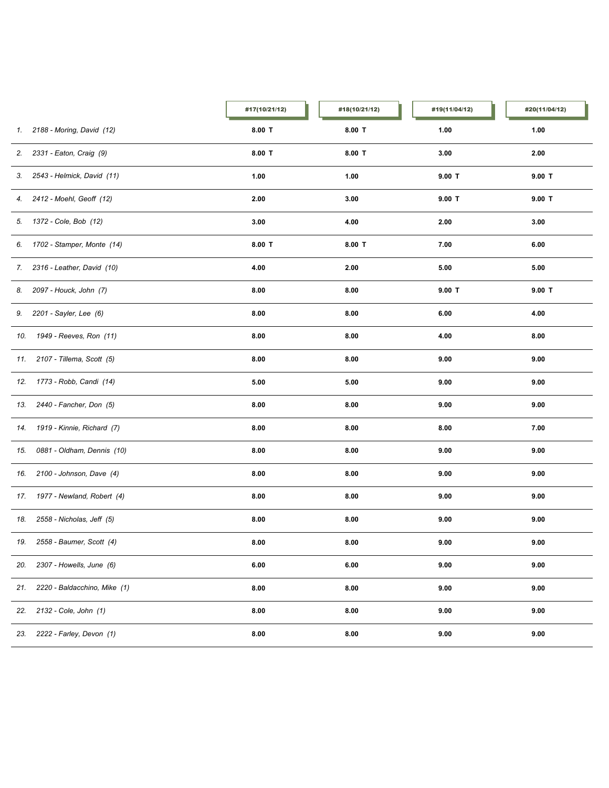|     |                                | #17(10/21/12) | #18(10/21/12) | #19(11/04/12) | #20(11/04/12) |
|-----|--------------------------------|---------------|---------------|---------------|---------------|
| 1.  | 2188 - Moring, David (12)      | $8.00$ T      | $8.00$ T      | 1.00          | 1.00          |
|     | 2. 2331 - Eaton, Craig (9)     | $8.00$ T      | $8.00$ T      | 3.00          | 2.00          |
|     | 3. 2543 - Helmick, David (11)  | 1.00          | 1.00          | $9.00$ T      | $9.00$ T      |
|     | 4. 2412 - Moehl, Geoff (12)    | 2.00          | 3.00          | $9.00$ T      | $9.00$ T      |
|     | 5. 1372 - Cole, Bob (12)       | 3.00          | 4.00          | 2.00          | 3.00          |
|     | 6. 1702 - Stamper, Monte (14)  | $8.00$ T      | $8.00$ T      | 7.00          | 6.00          |
|     | 7. 2316 - Leather, David (10)  | 4.00          | 2.00          | 5.00          | 5.00          |
|     | 8. 2097 - Houck, John (7)      | 8.00          | 8.00          | $9.00$ T      | $9.00$ T      |
|     | 9. 2201 - Sayler, Lee (6)      | 8.00          | 8.00          | 6.00          | 4.00          |
|     | 10. 1949 - Reeves, Ron (11)    | 8.00          | 8.00          | 4.00          | 8.00          |
|     | 11. 2107 - Tillema, Scott (5)  | 8.00          | 8.00          | 9.00          | 9.00          |
|     | 12. 1773 - Robb, Candi (14)    | 5.00          | 5.00          | 9.00          | 9.00          |
| 13. | 2440 - Fancher, Don (5)        | 8.00          | 8.00          | 9.00          | 9.00          |
| 14. | 1919 - Kinnie, Richard (7)     | 8.00          | 8.00          | 8.00          | 7.00          |
| 15. | 0881 - Oldham, Dennis (10)     | 8.00          | 8.00          | 9.00          | 9.00          |
| 16. | 2100 - Johnson, Dave (4)       | 8.00          | 8.00          | 9.00          | 9.00          |
|     | 17. 1977 - Newland, Robert (4) | 8.00          | 8.00          | 9.00          | 9.00          |
| 18. | 2558 - Nicholas, Jeff (5)      | 8.00          | 8.00          | 9.00          | 9.00          |
| 19. | 2558 - Baumer, Scott (4)       | 8.00          | 8.00          | 9.00          | 9.00          |
| 20. | 2307 - Howells, June (6)       | 6.00          | 6.00          | 9.00          | 9.00          |
| 21. | 2220 - Baldacchino, Mike (1)   | 8.00          | 8.00          | 9.00          | 9.00          |
| 22. | 2132 - Cole, John (1)          | 8.00          | 8.00          | 9.00          | 9.00          |
| 23. | 2222 - Farley, Devon (1)       | 8.00          | 8.00          | 9.00          | 9.00          |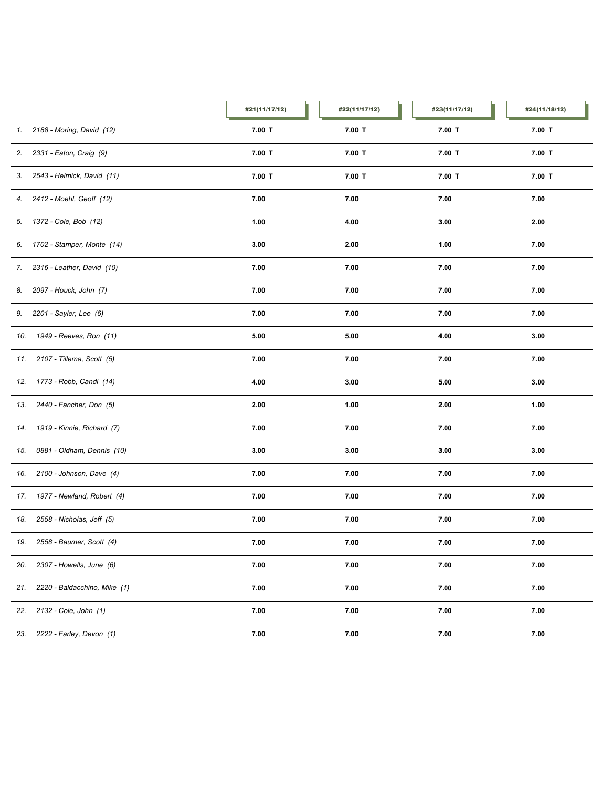|     |                                | #21(11/17/12) | #22(11/17/12) | #23(11/17/12) | #24(11/18/12) |
|-----|--------------------------------|---------------|---------------|---------------|---------------|
|     | 1. 2188 - Moring, David (12)   | $7.00$ T      | $7.00$ T      | $7.00$ T      | $7.00$ T      |
|     | 2. 2331 - Eaton, Craig (9)     | $7.00$ T      | $7.00$ T      | $7.00$ T      | $7.00$ T      |
|     | 3. 2543 - Helmick, David (11)  | $7.00$ T      | $7.00$ T      | $7.00$ T      | $7.00$ T      |
|     | 4. 2412 - Moehl, Geoff (12)    | 7.00          | 7.00          | 7.00          | 7.00          |
|     | 5. 1372 - Cole, Bob (12)       | 1.00          | 4.00          | 3.00          | 2.00          |
|     | 6. 1702 - Stamper, Monte (14)  | 3.00          | 2.00          | 1.00          | 7.00          |
|     | 7. 2316 - Leather, David (10)  | 7.00          | 7.00          | 7.00          | 7.00          |
|     | 8. 2097 - Houck, John (7)      | 7.00          | 7.00          | 7.00          | 7.00          |
|     | 9. 2201 - Sayler, Lee (6)      | 7.00          | 7.00          | 7.00          | 7.00          |
|     | 10. 1949 - Reeves, Ron (11)    | 5.00          | 5.00          | 4.00          | 3.00          |
|     | 11. 2107 - Tillema, Scott (5)  | 7.00          | 7.00          | 7.00          | 7.00          |
|     | 12. 1773 - Robb, Candi (14)    | 4.00          | 3.00          | 5.00          | 3.00          |
| 13. | 2440 - Fancher, Don (5)        | 2.00          | 1.00          | 2.00          | 1.00          |
| 14. | 1919 - Kinnie, Richard (7)     | 7.00          | 7.00          | 7.00          | 7.00          |
| 15. | 0881 - Oldham, Dennis (10)     | 3.00          | 3.00          | 3.00          | 3.00          |
|     | 16. 2100 - Johnson, Dave (4)   | 7.00          | 7.00          | 7.00          | 7.00          |
|     | 17. 1977 - Newland, Robert (4) | 7.00          | 7.00          | 7.00          | 7.00          |
| 18. | 2558 - Nicholas, Jeff (5)      | 7.00          | 7.00          | 7.00          | 7.00          |
|     | 19. 2558 - Baumer, Scott (4)   | 7.00          | 7.00          | 7.00          | 7.00          |
| 20. | 2307 - Howells, June (6)       | 7.00          | 7.00          | 7.00          | 7.00          |
| 21. | 2220 - Baldacchino, Mike (1)   | 7.00          | 7.00          | 7.00          | 7.00          |
| 22. | 2132 - Cole, John (1)          | 7.00          | 7.00          | 7.00          | 7.00          |
| 23. | 2222 - Farley, Devon (1)       | 7.00          | 7.00          | 7.00          | 7.00          |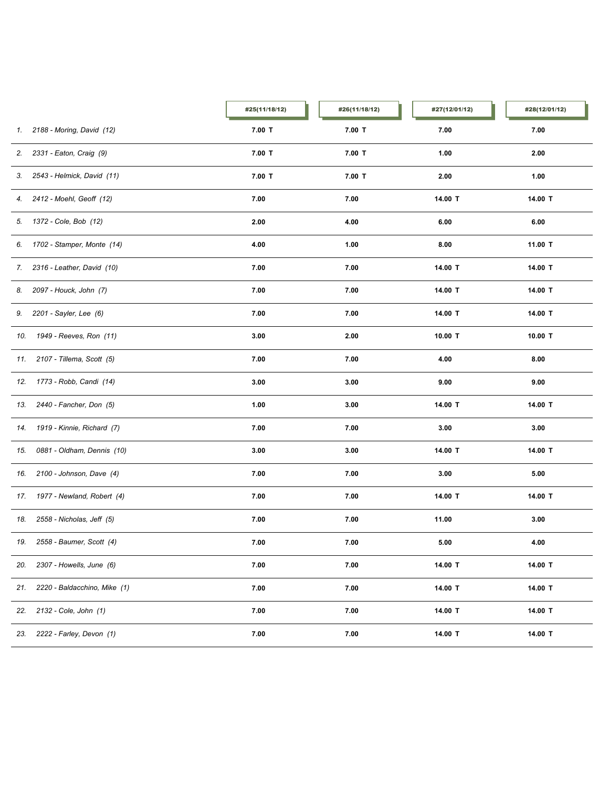|     |                               | #25(11/18/12) | #26(11/18/12) | #27(12/01/12) | #28(12/01/12) |
|-----|-------------------------------|---------------|---------------|---------------|---------------|
|     | 1. 2188 - Moring, David (12)  | $7.00$ T      | $7.00$ T      | 7.00          | 7.00          |
|     | 2. 2331 - Eaton, Craig (9)    | $7.00$ T      | $7.00$ T      | 1.00          | 2.00          |
|     | 3. 2543 - Helmick, David (11) | $7.00$ T      | $7.00$ T      | 2.00          | 1.00          |
|     | 4. 2412 - Moehl, Geoff (12)   | 7.00          | 7.00          | 14.00 T       | 14.00 T       |
|     | 5. 1372 - Cole, Bob (12)      | 2.00          | 4.00          | 6.00          | 6.00          |
|     | 6. 1702 - Stamper, Monte (14) | 4.00          | 1.00          | 8.00          | 11.00 T       |
|     | 7. 2316 - Leather, David (10) | 7.00          | 7.00          | 14.00 T       | 14.00 T       |
|     | 8. 2097 - Houck, John (7)     | 7.00          | 7.00          | 14.00 T       | 14.00 T       |
|     | 9. 2201 - Sayler, Lee (6)     | 7.00          | 7.00          | 14.00 T       | 14.00 T       |
|     | 10. 1949 - Reeves, Ron (11)   | 3.00          | 2.00          | 10.00 T       | 10.00 T       |
|     | 11. 2107 - Tillema, Scott (5) | 7.00          | 7.00          | 4.00          | 8.00          |
|     | 12. 1773 - Robb, Candi (14)   | 3.00          | 3.00          | 9.00          | 9.00          |
| 13. | 2440 - Fancher, Don (5)       | 1.00          | 3.00          | 14.00 T       | 14.00 T       |
| 14. | 1919 - Kinnie, Richard (7)    | 7.00          | 7.00          | 3.00          | 3.00          |
| 15. | 0881 - Oldham, Dennis (10)    | 3.00          | 3.00          | 14.00 T       | 14.00 T       |
|     | 16. 2100 - Johnson, Dave (4)  | 7.00          | 7.00          | 3.00          | 5.00          |
| 17. | 1977 - Newland, Robert (4)    | 7.00          | 7.00          | 14.00 T       | 14.00 T       |
| 18. | 2558 - Nicholas, Jeff (5)     | 7.00          | 7.00          | 11.00         | 3.00          |
|     | 19. 2558 - Baumer, Scott (4)  | 7.00          | 7.00          | 5.00          | 4.00          |
| 20. | 2307 - Howells, June (6)      | 7.00          | 7.00          | 14.00 T       | 14.00 T       |
| 21. | 2220 - Baldacchino, Mike (1)  | 7.00          | 7.00          | 14.00 T       | 14.00 T       |
| 22. | 2132 - Cole, John (1)         | 7.00          | 7.00          | 14.00 T       | 14.00 T       |
| 23. | 2222 - Farley, Devon (1)      | 7.00          | 7.00          | 14.00 T       | 14.00 T       |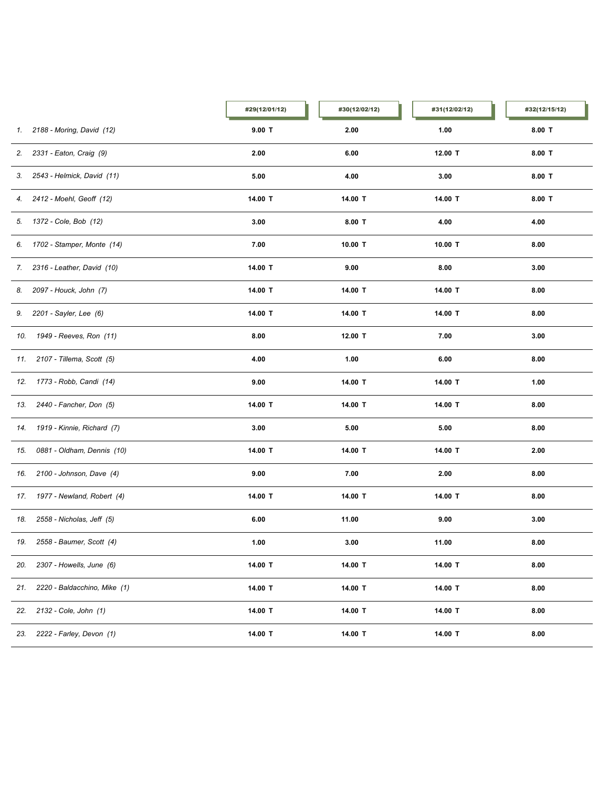|     |                                | #29(12/01/12) | #30(12/02/12) | #31(12/02/12) | #32(12/15/12) |
|-----|--------------------------------|---------------|---------------|---------------|---------------|
|     | 1. 2188 - Moring, David (12)   | $9.00$ T      | 2.00          | 1.00          | $8.00$ T      |
|     | 2. 2331 - Eaton, Craig (9)     | 2.00          | 6.00          | 12.00 T       | $8.00$ T      |
|     | 3. 2543 - Helmick, David (11)  | 5.00          | 4.00          | 3.00          | $8.00$ T      |
|     | 4. 2412 - Moehl, Geoff (12)    | 14.00 T       | 14.00 T       | 14.00 T       | $8.00$ T      |
|     | 5. 1372 - Cole, Bob (12)       | 3.00          | $8.00$ T      | 4.00          | 4.00          |
|     | 6. 1702 - Stamper, Monte (14)  | 7.00          | 10.00 $T$     | 10.00 T       | 8.00          |
|     | 7. 2316 - Leather, David (10)  | 14.00 T       | 9.00          | 8.00          | 3.00          |
|     | 8. 2097 - Houck, John (7)      | 14.00 T       | 14.00 T       | 14.00 T       | 8.00          |
|     | 9. 2201 - Sayler, Lee (6)      | 14.00 T       | 14.00 T       | 14.00 T       | 8.00          |
|     | 10. 1949 - Reeves, Ron (11)    | 8.00          | 12.00 T       | 7.00          | 3.00          |
|     | 11. 2107 - Tillema, Scott (5)  | 4.00          | 1.00          | 6.00          | 8.00          |
|     | 12. 1773 - Robb, Candi (14)    | 9.00          | 14.00 T       | 14.00 T       | 1.00          |
| 13. | 2440 - Fancher, Don (5)        | 14.00 T       | 14.00 T       | 14.00 T       | 8.00          |
| 14. | 1919 - Kinnie, Richard (7)     | 3.00          | 5.00          | 5.00          | 8.00          |
| 15. | 0881 - Oldham, Dennis (10)     | 14.00 T       | 14.00 T       | 14.00 T       | 2.00          |
| 16. | 2100 - Johnson, Dave (4)       | 9.00          | 7.00          | 2.00          | 8.00          |
|     | 17. 1977 - Newland, Robert (4) | 14.00 T       | 14.00 T       | 14.00 T       | 8.00          |
| 18. | 2558 - Nicholas, Jeff (5)      | 6.00          | 11.00         | 9.00          | 3.00          |
| 19. | 2558 - Baumer, Scott (4)       | 1.00          | 3.00          | 11.00         | 8.00          |
| 20. | 2307 - Howells, June (6)       | 14.00 T       | 14.00 T       | 14.00 T       | 8.00          |
| 21. | 2220 - Baldacchino, Mike (1)   | 14.00 T       | 14.00 T       | 14.00 T       | 8.00          |
| 22. | 2132 - Cole, John (1)          | 14.00 T       | 14.00 T       | 14.00 T       | 8.00          |
| 23. | 2222 - Farley, Devon (1)       | 14.00 T       | 14.00 T       | 14.00 T       | 8.00          |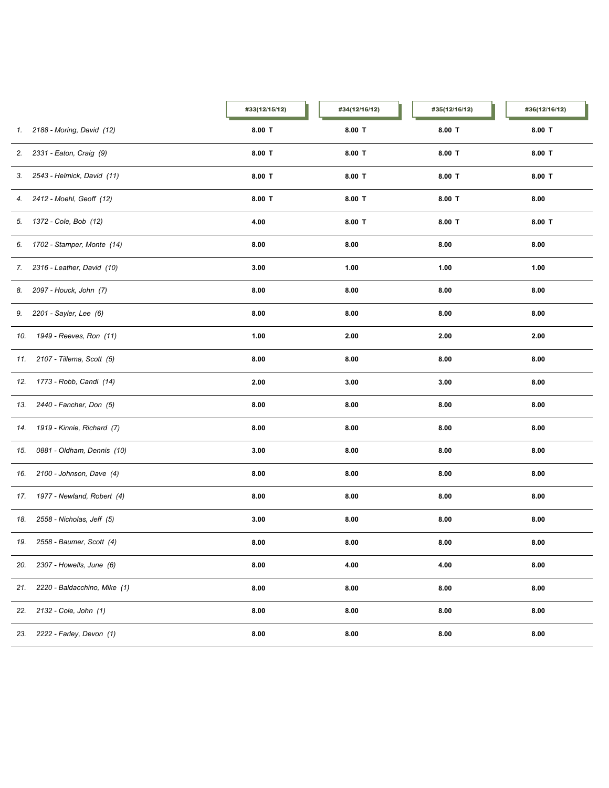|     |                               | #33(12/15/12) | #34(12/16/12) | #35(12/16/12) | #36(12/16/12) |
|-----|-------------------------------|---------------|---------------|---------------|---------------|
|     | 1. 2188 - Moring, David (12)  | $8.00$ T      | $8.00$ T      | $8.00$ T      | $8.00$ T      |
| 2.  | 2331 - Eaton, Craig (9)       | $8.00$ T      | $8.00$ T      | $8.00$ T      | $8.00$ T      |
|     | 3. 2543 - Helmick, David (11) | $8.00$ T      | $8.00$ T      | $8.00$ T      | $8.00$ T      |
|     | 4. 2412 - Moehl, Geoff (12)   | $8.00$ T      | $8.00$ T      | $8.00$ T      | 8.00          |
|     | 5. 1372 - Cole, Bob (12)      | 4.00          | $8.00$ T      | $8.00$ T      | $8.00$ T      |
|     | 6. 1702 - Stamper, Monte (14) | 8.00          | 8.00          | 8.00          | 8.00          |
|     | 7. 2316 - Leather, David (10) | 3.00          | 1.00          | 1.00          | 1.00          |
|     | 8. 2097 - Houck, John (7)     | 8.00          | 8.00          | 8.00          | 8.00          |
|     | 9. 2201 - Sayler, Lee (6)     | 8.00          | 8.00          | 8.00          | 8.00          |
|     | 10. 1949 - Reeves, Ron (11)   | 1.00          | 2.00          | 2.00          | 2.00          |
|     | 11. 2107 - Tillema, Scott (5) | 8.00          | 8.00          | 8.00          | 8.00          |
|     | 12. 1773 - Robb, Candi (14)   | 2.00          | 3.00          | 3.00          | 8.00          |
| 13. | 2440 - Fancher, Don (5)       | 8.00          | 8.00          | 8.00          | 8.00          |
| 14. | 1919 - Kinnie, Richard (7)    | 8.00          | 8.00          | 8.00          | 8.00          |
| 15. | 0881 - Oldham, Dennis (10)    | 3.00          | 8.00          | 8.00          | 8.00          |
| 16. | 2100 - Johnson, Dave (4)      | 8.00          | 8.00          | 8.00          | 8.00          |
| 17. | 1977 - Newland, Robert (4)    | 8.00          | 8.00          | 8.00          | 8.00          |
| 18. | 2558 - Nicholas, Jeff (5)     | 3.00          | 8.00          | 8.00          | 8.00          |
|     | 19. 2558 - Baumer, Scott (4)  | 8.00          | 8.00          | 8.00          | 8.00          |
| 20. | 2307 - Howells, June (6)      | 8.00          | 4.00          | 4.00          | 8.00          |
| 21. | 2220 - Baldacchino, Mike (1)  | 8.00          | 8.00          | 8.00          | 8.00          |
| 22. | 2132 - Cole, John (1)         | 8.00          | 8.00          | 8.00          | 8.00          |
| 23. | 2222 - Farley, Devon (1)      | 8.00          | 8.00          | 8.00          | 8.00          |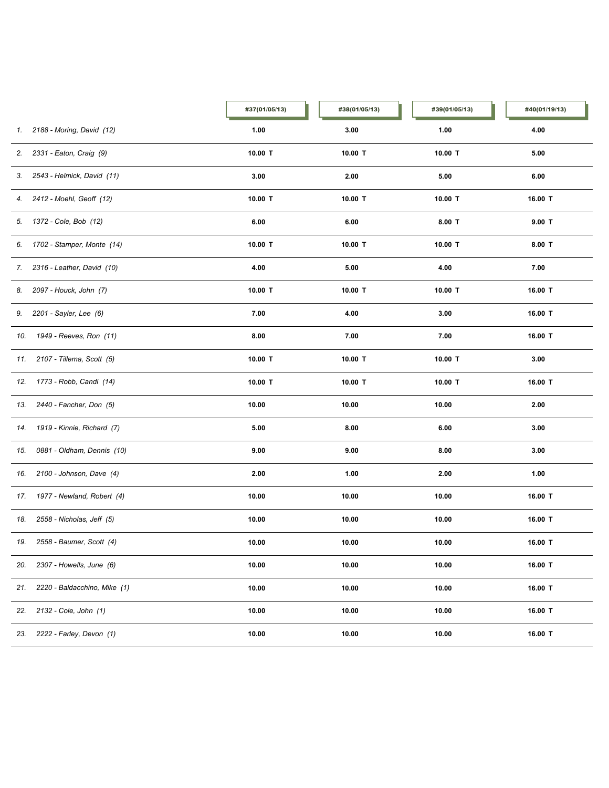|     |                                | #37(01/05/13) | #38(01/05/13) | #39(01/05/13) | #40(01/19/13) |
|-----|--------------------------------|---------------|---------------|---------------|---------------|
| 1.  | 2188 - Moring, David (12)      | 1.00          | 3.00          | 1.00          | 4.00          |
|     | 2. 2331 - Eaton, Craig (9)     | 10.00 T       | 10.00 T       | 10.00 T       | 5.00          |
|     | 3. 2543 - Helmick, David (11)  | 3.00          | 2.00          | 5.00          | 6.00          |
| 4.  | 2412 - Moehl, Geoff (12)       | 10.00 T       | 10.00 $T$     | 10.00 T       | 16.00 T       |
|     | 5. 1372 - Cole, Bob (12)       | 6.00          | 6.00          | $8.00$ T      | $9.00$ T      |
|     | 6. 1702 - Stamper, Monte (14)  | 10.00 T       | 10.00 T       | 10.00 T       | $8.00$ T      |
|     | 7. 2316 - Leather, David (10)  | 4.00          | 5.00          | 4.00          | 7.00          |
|     | 8. 2097 - Houck, John (7)      | 10.00 T       | 10.00 T       | 10.00 T       | 16.00 T       |
|     | 9. 2201 - Sayler, Lee (6)      | 7.00          | 4.00          | 3.00          | 16.00 T       |
| 10. | 1949 - Reeves, Ron (11)        | 8.00          | 7.00          | 7.00          | 16.00 T       |
|     | 11. 2107 - Tillema, Scott (5)  | 10.00 T       | 10.00 $T$     | 10.00 T       | 3.00          |
|     | 12. 1773 - Robb, Candi (14)    | 10.00 T       | 10.00 $T$     | 10.00 T       | 16.00 T       |
| 13. | 2440 - Fancher, Don (5)        | 10.00         | 10.00         | 10.00         | 2.00          |
| 14. | 1919 - Kinnie, Richard (7)     | 5.00          | 8.00          | 6.00          | 3.00          |
| 15. | 0881 - Oldham, Dennis (10)     | 9.00          | 9.00          | 8.00          | 3.00          |
| 16. | 2100 - Johnson, Dave (4)       | 2.00          | 1.00          | 2.00          | 1.00          |
|     | 17. 1977 - Newland, Robert (4) | 10.00         | 10.00         | 10.00         | 16.00 T       |
| 18. | 2558 - Nicholas, Jeff (5)      | 10.00         | 10.00         | 10.00         | 16.00 T       |
| 19. | 2558 - Baumer, Scott (4)       | 10.00         | 10.00         | 10.00         | 16.00 T       |
| 20. | 2307 - Howells, June (6)       | 10.00         | 10.00         | 10.00         | 16.00 T       |
| 21. | 2220 - Baldacchino, Mike (1)   | 10.00         | 10.00         | 10.00         | 16.00 T       |
| 22. | 2132 - Cole, John (1)          | 10.00         | 10.00         | 10.00         | 16.00 T       |
| 23. | 2222 - Farley, Devon (1)       | 10.00         | 10.00         | 10.00         | 16.00 T       |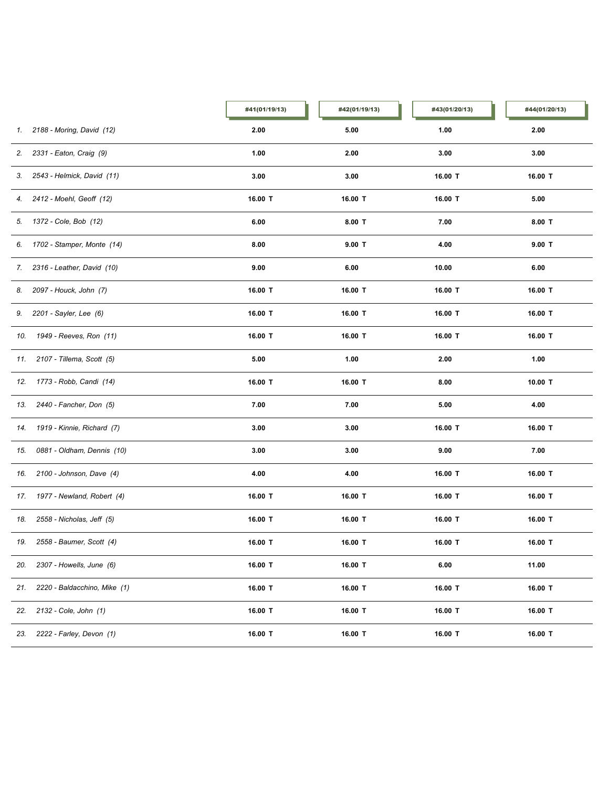|     |                                | #41(01/19/13) | #42(01/19/13) | #43(01/20/13) | #44(01/20/13) |
|-----|--------------------------------|---------------|---------------|---------------|---------------|
|     | 1. 2188 - Moring, David (12)   | 2.00          | 5.00          | 1.00          | 2.00          |
| 2.  | 2331 - Eaton, Craig (9)        | 1.00          | 2.00          | 3.00          | 3.00          |
|     | 3. 2543 - Helmick, David (11)  | 3.00          | 3.00          | 16.00 T       | 16.00 T       |
|     | 4. 2412 - Moehl, Geoff (12)    | 16.00 T       | 16.00 T       | 16.00 T       | 5.00          |
|     | 5. 1372 - Cole, Bob (12)       | 6.00          | $8.00$ T      | 7.00          | $8.00$ T      |
|     | 6. 1702 - Stamper, Monte (14)  | 8.00          | $9.00$ T      | 4.00          | 9.00 T        |
|     | 7. 2316 - Leather, David (10)  | 9.00          | 6.00          | 10.00         | 6.00          |
|     | 8. 2097 - Houck, John (7)      | 16.00 T       | 16.00 T       | 16.00 T       | 16.00 T       |
|     | 9. 2201 - Sayler, Lee (6)      | 16.00 T       | 16.00 T       | 16.00 T       | 16.00 T       |
|     | 10. 1949 - Reeves, Ron (11)    | 16.00 T       | 16.00 T       | 16.00 T       | 16.00 T       |
|     | 11. 2107 - Tillema, Scott (5)  | 5.00          | 1.00          | 2.00          | 1.00          |
|     | 12. 1773 - Robb, Candi (14)    | 16.00 T       | 16.00 T       | 8.00          | 10.00 T       |
| 13. | 2440 - Fancher, Don (5)        | 7.00          | 7.00          | 5.00          | 4.00          |
| 14. | 1919 - Kinnie, Richard (7)     | 3.00          | 3.00          | 16.00 T       | 16.00 T       |
| 15. | 0881 - Oldham, Dennis (10)     | 3.00          | 3.00          | 9.00          | 7.00          |
| 16. | 2100 - Johnson, Dave (4)       | 4.00          | 4.00          | 16.00 T       | 16.00 T       |
|     | 17. 1977 - Newland, Robert (4) | 16.00 T       | 16.00 T       | 16.00 T       | 16.00 T       |
| 18. | 2558 - Nicholas, Jeff (5)      | 16.00 T       | 16.00 T       | 16.00 T       | 16.00 T       |
| 19. | 2558 - Baumer, Scott (4)       | 16.00 T       | 16.00 T       | 16.00 T       | 16.00 T       |
| 20. | 2307 - Howells, June (6)       | 16.00 T       | 16.00 T       | 6.00          | 11.00         |
| 21. | 2220 - Baldacchino, Mike (1)   | 16.00 T       | 16.00 T       | 16.00 T       | 16.00 T       |
| 22. | 2132 - Cole, John (1)          | 16.00 T       | 16.00 T       | 16.00 T       | 16.00 T       |
| 23. | 2222 - Farley, Devon (1)       | 16.00 T       | 16.00 T       | 16.00 T       | 16.00 T       |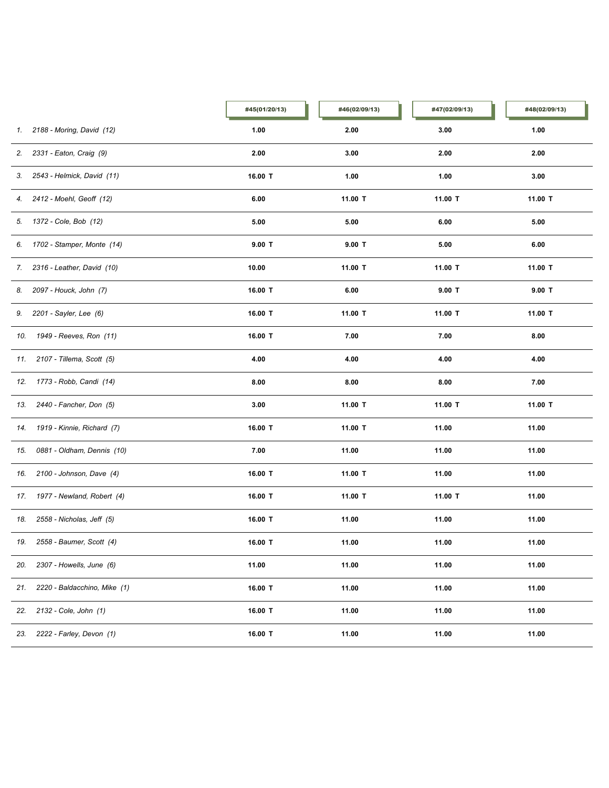|     |                                | #45(01/20/13) | #46(02/09/13) | #47(02/09/13) | #48(02/09/13) |
|-----|--------------------------------|---------------|---------------|---------------|---------------|
|     | 1. 2188 - Moring, David (12)   | 1.00          | 2.00          | 3.00          | 1.00          |
| 2.  | 2331 - Eaton, Craig (9)        | 2.00          | 3.00          | 2.00          | 2.00          |
|     | 3. 2543 - Helmick, David (11)  | 16.00 T       | 1.00          | 1.00          | 3.00          |
|     | 4. 2412 - Moehl, Geoff (12)    | 6.00          | 11.00 T       | 11.00 T       | 11.00 T       |
|     | 5. 1372 - Cole, Bob (12)       | 5.00          | 5.00          | 6.00          | 5.00          |
|     | 6. 1702 - Stamper, Monte (14)  | $9.00$ T      | $9.00$ T      | 5.00          | 6.00          |
|     | 7. 2316 - Leather, David (10)  | 10.00         | 11.00 T       | 11.00 T       | 11.00 T       |
|     | 8. 2097 - Houck, John (7)      | 16.00 T       | 6.00          | $9.00$ T      | $9.00$ T      |
|     | 9. 2201 - Sayler, Lee (6)      | 16.00 T       | 11.00 T       | 11.00 T       | 11.00 T       |
|     | 10. 1949 - Reeves, Ron (11)    | 16.00 T       | 7.00          | 7.00          | 8.00          |
|     | 11. 2107 - Tillema, Scott (5)  | 4.00          | 4.00          | 4.00          | 4.00          |
|     | 12. 1773 - Robb, Candi (14)    | 8.00          | 8.00          | 8.00          | 7.00          |
| 13. | 2440 - Fancher, Don (5)        | 3.00          | 11.00 T       | 11.00 T       | 11.00 T       |
| 14. | 1919 - Kinnie, Richard (7)     | 16.00 T       | 11.00 T       | 11.00         | 11.00         |
| 15. | 0881 - Oldham, Dennis (10)     | 7.00          | 11.00         | 11.00         | 11.00         |
| 16. | 2100 - Johnson, Dave (4)       | 16.00 T       | 11.00 T       | 11.00         | 11.00         |
|     | 17. 1977 - Newland, Robert (4) | 16.00 T       | 11.00 T       | 11.00 T       | 11.00         |
| 18. | 2558 - Nicholas, Jeff (5)      | 16.00 T       | 11.00         | 11.00         | 11.00         |
| 19. | 2558 - Baumer, Scott (4)       | 16.00 T       | 11.00         | 11.00         | 11.00         |
| 20. | 2307 - Howells, June (6)       | 11.00         | 11.00         | 11.00         | 11.00         |
| 21. | 2220 - Baldacchino, Mike (1)   | 16.00 T       | 11.00         | 11.00         | 11.00         |
| 22. | 2132 - Cole, John (1)          | 16.00 T       | 11.00         | 11.00         | 11.00         |
| 23. | 2222 - Farley, Devon (1)       | 16.00 T       | 11.00         | 11.00         | 11.00         |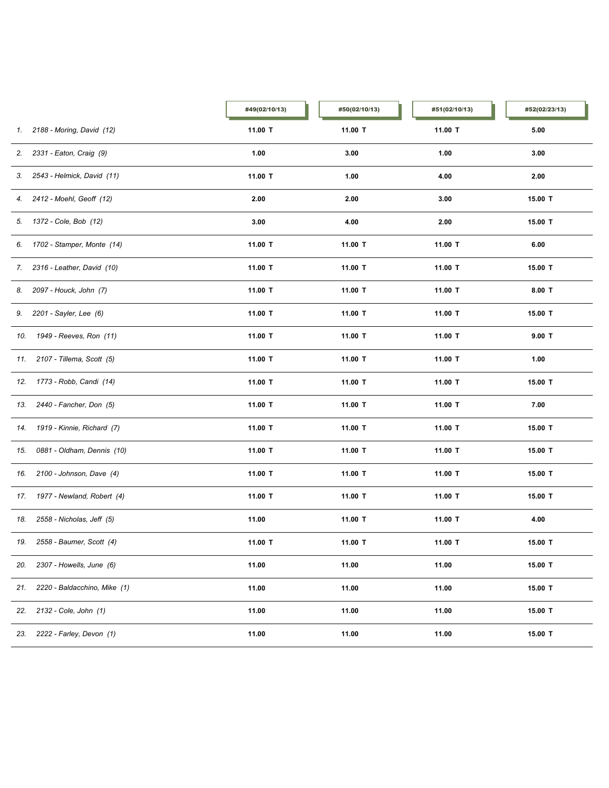|     |                                | #49(02/10/13) | #50(02/10/13) | #51(02/10/13) | #52(02/23/13) |
|-----|--------------------------------|---------------|---------------|---------------|---------------|
|     | 1. 2188 - Moring, David (12)   | 11.00 T       | 11.00 T       | 11.00 T       | 5.00          |
|     | 2. 2331 - Eaton, Craig (9)     | 1.00          | 3.00          | 1.00          | 3.00          |
|     | 3. 2543 - Helmick, David (11)  | 11.00 T       | 1.00          | 4.00          | 2.00          |
|     | 4. 2412 - Moehl, Geoff (12)    | 2.00          | 2.00          | 3.00          | 15.00 T       |
|     | 5. 1372 - Cole, Bob (12)       | 3.00          | 4.00          | 2.00          | 15.00 T       |
|     | 6. 1702 - Stamper, Monte (14)  | 11.00 T       | 11.00 T       | 11.00 T       | 6.00          |
|     | 7. 2316 - Leather, David (10)  | 11.00 T       | 11.00 T       | 11.00 T       | 15.00 T       |
|     | 8. 2097 - Houck, John (7)      | 11.00 T       | 11.00 T       | 11.00 T       | $8.00$ T      |
|     | 9. 2201 - Sayler, Lee (6)      | 11.00 T       | 11.00 T       | 11.00 T       | 15.00 T       |
|     | 10. 1949 - Reeves, Ron (11)    | 11.00 T       | 11.00 T       | 11.00 T       | $9.00$ T      |
|     | 11. 2107 - Tillema, Scott (5)  | 11.00 T       | 11.00 T       | 11.00 T       | 1.00          |
|     | 12. 1773 - Robb, Candi (14)    | 11.00 T       | 11.00 T       | 11.00 T       | 15.00 T       |
| 13. | 2440 - Fancher, Don (5)        | 11.00 T       | 11.00 T       | 11.00 T       | 7.00          |
| 14. | 1919 - Kinnie, Richard (7)     | 11.00 T       | 11.00 T       | 11.00 T       | 15.00 T       |
| 15. | 0881 - Oldham, Dennis (10)     | 11.00 T       | 11.00 T       | 11.00 T       | 15.00 T       |
|     | 16. 2100 - Johnson, Dave (4)   | 11.00 T       | 11.00 T       | 11.00 T       | 15.00 T       |
|     | 17. 1977 - Newland, Robert (4) | 11.00 T       | 11.00 T       | 11.00 T       | 15.00 T       |
| 18. | 2558 - Nicholas, Jeff (5)      | 11.00         | 11.00 T       | 11.00 T       | 4.00          |
|     | 19. 2558 - Baumer, Scott (4)   | 11.00 T       | 11.00 T       | 11.00 T       | 15.00 T       |
| 20. | 2307 - Howells, June (6)       | 11.00         | 11.00         | 11.00         | 15.00 T       |
| 21. | 2220 - Baldacchino, Mike (1)   | 11.00         | 11.00         | 11.00         | 15.00 T       |
| 22. | 2132 - Cole, John (1)          | 11.00         | 11.00         | 11.00         | 15.00 T       |
| 23. | 2222 - Farley, Devon (1)       | 11.00         | 11.00         | 11.00         | 15.00 T       |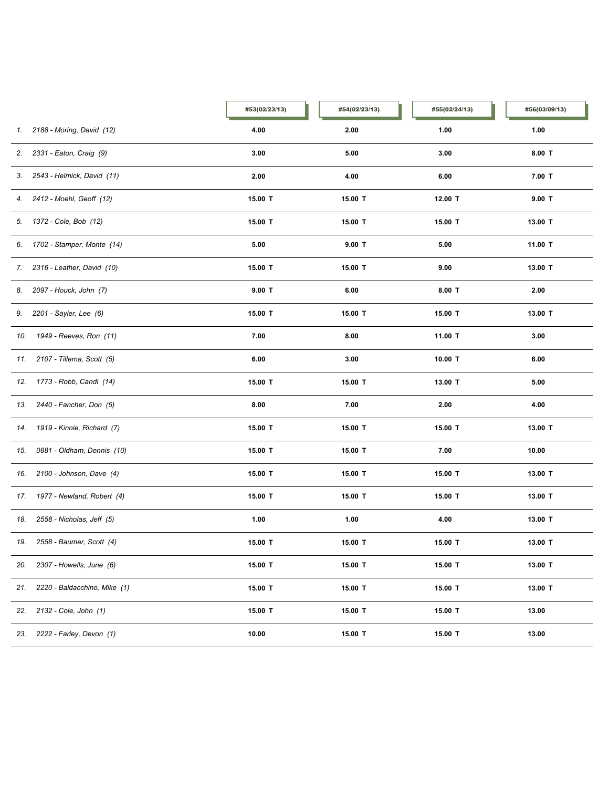|     |                                | #53(02/23/13) | #54(02/23/13) | #55(02/24/13) | #56(03/09/13) |
|-----|--------------------------------|---------------|---------------|---------------|---------------|
| 1.  | 2188 - Moring, David (12)      | 4.00          | 2.00          | 1.00          | 1.00          |
|     | 2. 2331 - Eaton, Craig (9)     | 3.00          | 5.00          | 3.00          | $8.00$ T      |
|     | 3. 2543 - Helmick, David (11)  | 2.00          | 4.00          | 6.00          | $7.00$ T      |
|     | 4. 2412 - Moehl, Geoff (12)    | 15.00 T       | 15.00 T       | 12.00 T       | $9.00$ T      |
|     | 5. 1372 - Cole, Bob (12)       | 15.00 T       | 15.00 T       | 15.00 T       | 13.00 T       |
|     | 6. 1702 - Stamper, Monte (14)  | 5.00          | $9.00$ T      | 5.00          | 11.00 T       |
|     | 7. 2316 - Leather, David (10)  | 15.00 T       | 15.00 T       | 9.00          | 13.00 T       |
|     | 8. 2097 - Houck, John (7)      | $9.00$ T      | 6.00          | $8.00$ T      | 2.00          |
|     | 9. 2201 - Sayler, Lee (6)      | 15.00 T       | 15.00 T       | 15.00 T       | 13.00 T       |
| 10. | 1949 - Reeves, Ron (11)        | 7.00          | 8.00          | 11.00 T       | 3.00          |
|     | 11. 2107 - Tillema, Scott (5)  | 6.00          | 3.00          | 10.00 T       | 6.00          |
|     | 12. 1773 - Robb, Candi (14)    | 15.00 T       | 15.00 T       | 13.00 T       | 5.00          |
| 13. | 2440 - Fancher, Don (5)        | 8.00          | 7.00          | 2.00          | 4.00          |
| 14. | 1919 - Kinnie, Richard (7)     | 15.00 T       | 15.00 T       | 15.00 T       | 13.00 T       |
| 15. | 0881 - Oldham, Dennis (10)     | 15.00 T       | 15.00 T       | 7.00          | 10.00         |
| 16. | 2100 - Johnson, Dave (4)       | 15.00 T       | 15.00 T       | 15.00 T       | 13.00 T       |
|     | 17. 1977 - Newland, Robert (4) | 15.00 T       | 15.00 T       | 15.00 T       | 13.00 T       |
| 18. | 2558 - Nicholas, Jeff (5)      | 1.00          | 1.00          | 4.00          | 13.00 T       |
| 19. | 2558 - Baumer, Scott (4)       | 15.00 T       | 15.00 T       | 15.00 T       | 13.00 T       |
| 20. | 2307 - Howells, June (6)       | 15.00 T       | 15.00 T       | 15.00 T       | 13.00 T       |
| 21. | 2220 - Baldacchino, Mike (1)   | 15.00 T       | 15.00 T       | 15.00 T       | 13.00 T       |
| 22. | 2132 - Cole, John (1)          | 15.00 T       | 15.00 T       | 15.00 T       | 13.00         |
| 23. | 2222 - Farley, Devon (1)       | 10.00         | 15.00 T       | 15.00 T       | 13.00         |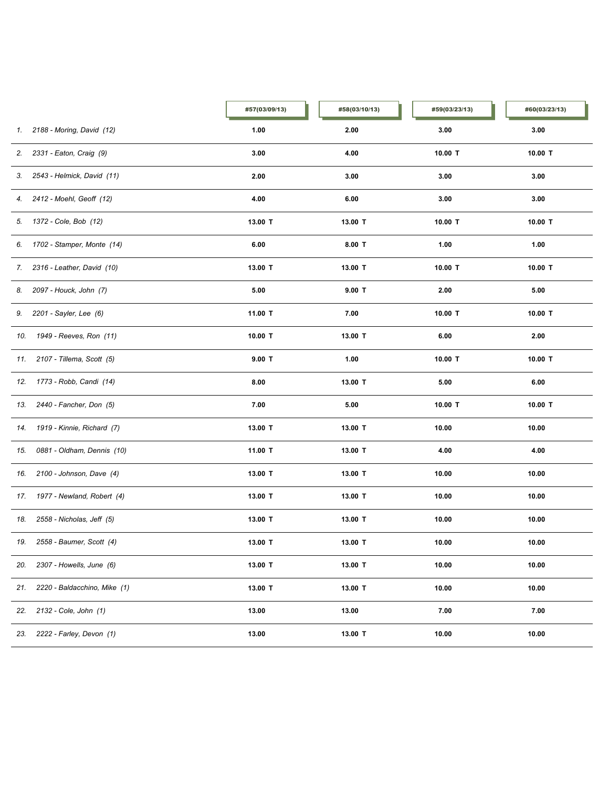|     |                               | #57(03/09/13) | #58(03/10/13) | #59(03/23/13) | #60(03/23/13) |
|-----|-------------------------------|---------------|---------------|---------------|---------------|
|     | 1. 2188 - Moring, David (12)  | 1.00          | 2.00          | 3.00          | 3.00          |
| 2.  | 2331 - Eaton, Craig (9)       | 3.00          | 4.00          | 10.00 T       | 10.00 T       |
|     | 3. 2543 - Helmick, David (11) | 2.00          | 3.00          | 3.00          | 3.00          |
|     | 4. 2412 - Moehl, Geoff (12)   | 4.00          | 6.00          | 3.00          | 3.00          |
|     | 5. 1372 - Cole, Bob (12)      | 13.00 T       | 13.00 T       | 10.00 T       | 10.00 T       |
|     | 6. 1702 - Stamper, Monte (14) | 6.00          | $8.00$ T      | 1.00          | 1.00          |
|     | 7. 2316 - Leather, David (10) | 13.00 T       | 13.00 T       | 10.00 T       | 10.00 $T$     |
|     | 8. 2097 - Houck, John (7)     | 5.00          | $9.00$ T      | 2.00          | 5.00          |
|     | 9. 2201 - Sayler, Lee (6)     | 11.00 T       | 7.00          | 10.00 T       | 10.00 $T$     |
|     | 10. 1949 - Reeves, Ron (11)   | $10.00$ T     | 13.00 T       | 6.00          | 2.00          |
|     | 11. 2107 - Tillema, Scott (5) | $9.00$ T      | 1.00          | 10.00 T       | 10.00 T       |
|     | 12. 1773 - Robb, Candi (14)   | 8.00          | 13.00 T       | 5.00          | 6.00          |
| 13. | 2440 - Fancher, Don (5)       | 7.00          | 5.00          | 10.00 T       | 10.00 $T$     |
| 14. | 1919 - Kinnie, Richard (7)    | 13.00 T       | 13.00 T       | 10.00         | 10.00         |
| 15. | 0881 - Oldham, Dennis (10)    | 11.00 T       | 13.00 T       | 4.00          | 4.00          |
| 16. | 2100 - Johnson, Dave (4)      | 13.00 T       | 13.00 T       | 10.00         | 10.00         |
| 17. | 1977 - Newland, Robert (4)    | 13.00 T       | 13.00 T       | 10.00         | 10.00         |
| 18. | 2558 - Nicholas, Jeff (5)     | 13.00 T       | 13.00 T       | 10.00         | 10.00         |
| 19. | 2558 - Baumer, Scott (4)      | 13.00 T       | 13.00 T       | 10.00         | 10.00         |
| 20. | 2307 - Howells, June (6)      | 13.00 T       | 13.00 T       | 10.00         | 10.00         |
| 21. | 2220 - Baldacchino, Mike (1)  | 13.00 T       | 13.00 T       | 10.00         | 10.00         |
| 22. | 2132 - Cole, John (1)         | 13.00         | 13.00         | 7.00          | 7.00          |
| 23. | 2222 - Farley, Devon (1)      | 13.00         | 13.00 T       | 10.00         | 10.00         |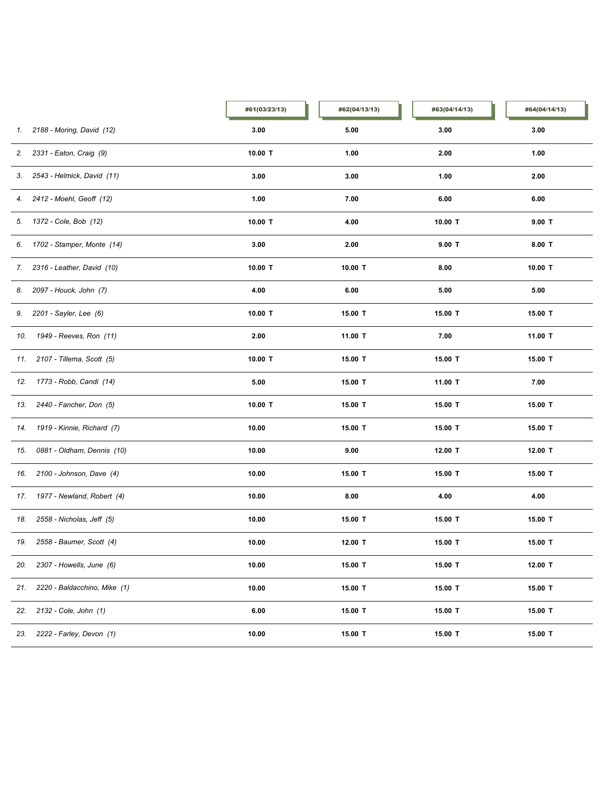|     |                               | #61(03/23/13) | #62(04/13/13) | #63(04/14/13) | #64(04/14/13) |
|-----|-------------------------------|---------------|---------------|---------------|---------------|
|     | 1. 2188 - Moring, David (12)  | 3.00          | 5.00          | 3.00          | 3.00          |
| 2.  | 2331 - Eaton, Craig (9)       | 10.00 T       | 1.00          | 2.00          | 1.00          |
|     | 3. 2543 - Helmick, David (11) | 3.00          | 3.00          | 1.00          | 2.00          |
|     | 4. 2412 - Moehl, Geoff (12)   | 1.00          | 7.00          | 6.00          | 6.00          |
|     | 5. 1372 - Cole, Bob (12)      | 10.00 T       | 4.00          | 10.00 T       | $9.00$ T      |
|     | 6. 1702 - Stamper, Monte (14) | 3.00          | 2.00          | $9.00$ T      | $8.00$ T      |
|     | 7. 2316 - Leather, David (10) | 10.00 T       | 10.00 T       | 8.00          | 10.00 $T$     |
|     | 8. 2097 - Houck, John (7)     | 4.00          | 6.00          | 5.00          | 5.00          |
|     | 9. 2201 - Sayler, Lee (6)     | 10.00 $T$     | 15.00 T       | 15.00 T       | 15.00 T       |
|     | 10. 1949 - Reeves, Ron (11)   | 2.00          | 11.00 T       | 7.00          | 11.00 T       |
|     | 11. 2107 - Tillema, Scott (5) | 10.00 T       | 15.00 T       | 15.00 T       | 15.00 T       |
|     | 12. 1773 - Robb, Candi (14)   | 5.00          | 15.00 T       | 11.00 T       | 7.00          |
| 13. | 2440 - Fancher, Don (5)       | 10.00 T       | 15.00 T       | 15.00 T       | 15.00 T       |
| 14. | 1919 - Kinnie, Richard (7)    | 10.00         | 15.00 T       | 15.00 T       | 15.00 T       |
| 15. | 0881 - Oldham, Dennis (10)    | 10.00         | 9.00          | 12.00 T       | 12.00 T       |
| 16. | 2100 - Johnson, Dave (4)      | 10.00         | 15.00 T       | 15.00 T       | 15.00 T       |
| 17. | 1977 - Newland, Robert (4)    | 10.00         | 8.00          | 4.00          | 4.00          |
| 18. | 2558 - Nicholas, Jeff (5)     | 10.00         | 15.00 T       | 15.00 T       | 15.00 T       |
| 19. | 2558 - Baumer, Scott (4)      | 10.00         | 12.00 T       | 15.00 T       | 15.00 T       |
| 20. | 2307 - Howells, June (6)      | 10.00         | 15.00 T       | 15.00 T       | 12.00 T       |
| 21. | 2220 - Baldacchino, Mike (1)  | 10.00         | 15.00 T       | 15.00 T       | 15.00 T       |
| 22. | 2132 - Cole, John (1)         | 6.00          | 15.00 T       | 15.00 T       | 15.00 T       |
| 23. | 2222 - Farley, Devon (1)      | 10.00         | 15.00 T       | 15.00 T       | 15.00 T       |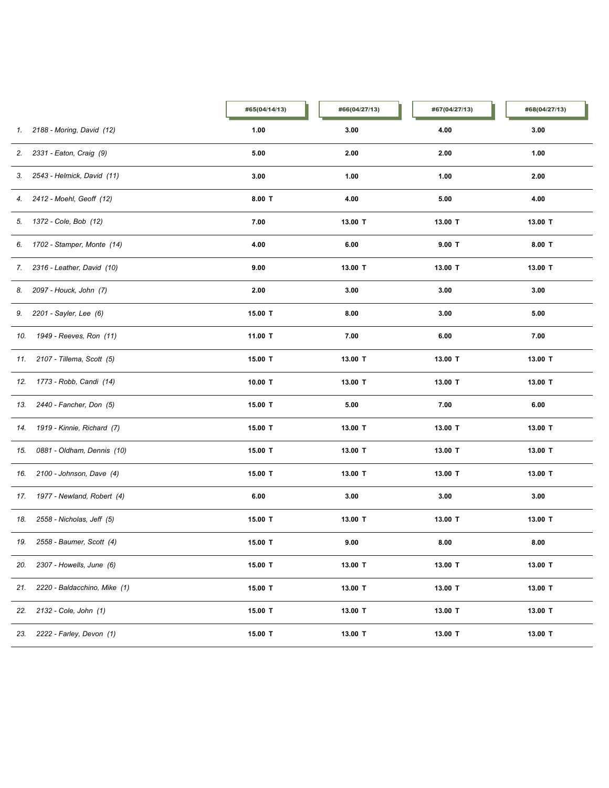|     |                                | #65(04/14/13) | #66(04/27/13) | #67(04/27/13) | #68(04/27/13) |
|-----|--------------------------------|---------------|---------------|---------------|---------------|
| 1.  | 2188 - Moring, David (12)      | 1.00          | 3.00          | 4.00          | 3.00          |
|     | 2. 2331 - Eaton, Craig (9)     | 5.00          | 2.00          | 2.00          | 1.00          |
|     | 3. 2543 - Helmick, David (11)  | 3.00          | 1.00          | 1.00          | 2.00          |
|     | 4. 2412 - Moehl, Geoff (12)    | $8.00$ T      | 4.00          | 5.00          | 4.00          |
|     | 5. 1372 - Cole, Bob (12)       | 7.00          | 13.00 T       | 13.00 T       | 13.00 T       |
|     | 6. 1702 - Stamper, Monte (14)  | 4.00          | 6.00          | $9.00$ T      | $8.00$ T      |
|     | 7. 2316 - Leather, David (10)  | 9.00          | 13.00 T       | 13.00 T       | 13.00 T       |
|     | 8. 2097 - Houck, John (7)      | 2.00          | 3.00          | 3.00          | 3.00          |
|     | 9. 2201 - Sayler, Lee (6)      | 15.00 T       | 8.00          | 3.00          | 5.00          |
| 10. | 1949 - Reeves, Ron (11)        | 11.00 T       | 7.00          | 6.00          | 7.00          |
|     | 11. 2107 - Tillema, Scott (5)  | 15.00 T       | 13.00 T       | 13.00 T       | 13.00 T       |
|     | 12. 1773 - Robb, Candi (14)    | 10.00 T       | 13.00 T       | 13.00 T       | 13.00 T       |
| 13. | 2440 - Fancher, Don (5)        | 15.00 T       | 5.00          | 7.00          | 6.00          |
| 14. | 1919 - Kinnie, Richard (7)     | 15.00 T       | 13.00 T       | 13.00 T       | 13.00 T       |
| 15. | 0881 - Oldham, Dennis (10)     | 15.00 T       | 13.00 T       | 13.00 T       | 13.00 T       |
| 16. | 2100 - Johnson, Dave (4)       | 15.00 T       | 13.00 T       | 13.00 T       | 13.00 T       |
|     | 17. 1977 - Newland, Robert (4) | 6.00          | 3.00          | 3.00          | 3.00          |
| 18. | 2558 - Nicholas, Jeff (5)      | 15.00 T       | 13.00 T       | 13.00 T       | 13.00 T       |
| 19. | 2558 - Baumer, Scott (4)       | 15.00 T       | 9.00          | 8.00          | 8.00          |
| 20. | 2307 - Howells, June (6)       | 15.00 T       | 13.00 T       | 13.00 T       | 13.00 T       |
| 21. | 2220 - Baldacchino, Mike (1)   | 15.00 T       | 13.00 T       | 13.00 T       | 13.00 T       |
| 22. | 2132 - Cole, John (1)          | 15.00 T       | 13.00 T       | 13.00 T       | 13.00 T       |
| 23. | 2222 - Farley, Devon (1)       | 15.00 T       | 13.00 T       | 13.00 T       | 13.00 T       |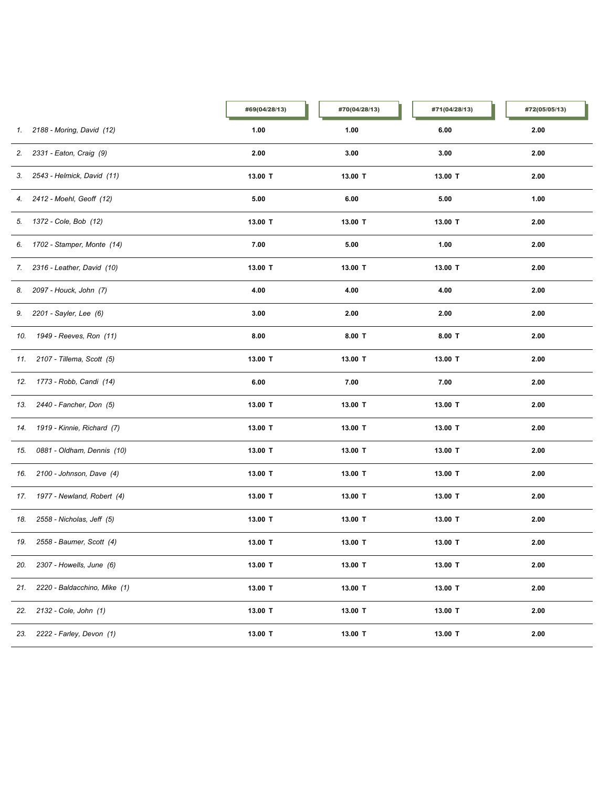|     |                                | #69(04/28/13) | #70(04/28/13) | #71(04/28/13) | #72(05/05/13) |
|-----|--------------------------------|---------------|---------------|---------------|---------------|
|     | 1. 2188 - Moring, David (12)   | 1.00          | 1.00          | 6.00          | 2.00          |
| 2.  | 2331 - Eaton, Craig (9)        | 2.00          | 3.00          | 3.00          | 2.00          |
|     | 3. 2543 - Helmick, David (11)  | 13.00 T       | 13.00 T       | 13.00 T       | 2.00          |
|     | 4. 2412 - Moehl, Geoff (12)    | 5.00          | 6.00          | 5.00          | 1.00          |
|     | 5. 1372 - Cole, Bob (12)       | 13.00 T       | 13.00 T       | 13.00 T       | 2.00          |
|     | 6. 1702 - Stamper, Monte (14)  | 7.00          | 5.00          | 1.00          | 2.00          |
|     | 7. 2316 - Leather, David (10)  | 13.00 T       | 13.00 T       | 13.00 T       | 2.00          |
|     | 8. 2097 - Houck, John (7)      | 4.00          | 4.00          | 4.00          | 2.00          |
|     | 9. 2201 - Sayler, Lee (6)      | 3.00          | 2.00          | 2.00          | 2.00          |
|     | 10. 1949 - Reeves, Ron (11)    | 8.00          | $8.00$ T      | $8.00$ T      | 2.00          |
|     | 11. 2107 - Tillema, Scott (5)  | 13.00 T       | 13.00 T       | 13.00 T       | 2.00          |
|     | 12. 1773 - Robb, Candi (14)    | 6.00          | 7.00          | 7.00          | 2.00          |
| 13. | 2440 - Fancher, Don (5)        | 13.00 T       | 13.00 T       | 13.00 T       | 2.00          |
| 14. | 1919 - Kinnie, Richard (7)     | 13.00 T       | 13.00 T       | 13.00 T       | 2.00          |
| 15. | 0881 - Oldham, Dennis (10)     | 13.00 T       | 13.00 T       | 13.00 T       | 2.00          |
| 16. | 2100 - Johnson, Dave (4)       | 13.00 T       | 13.00 T       | 13.00 T       | 2.00          |
|     | 17. 1977 - Newland, Robert (4) | 13.00 T       | 13.00 T       | 13.00 T       | 2.00          |
| 18. | 2558 - Nicholas, Jeff (5)      | 13.00 T       | 13.00 T       | 13.00 T       | 2.00          |
|     | 19. 2558 - Baumer, Scott (4)   | 13.00 T       | 13.00 T       | 13.00 T       | 2.00          |
| 20. | 2307 - Howells, June (6)       | 13.00 T       | 13.00 T       | 13.00 T       | 2.00          |
| 21. | 2220 - Baldacchino, Mike (1)   | 13.00 T       | 13.00 T       | 13.00 T       | 2.00          |
| 22. | 2132 - Cole, John (1)          | 13.00 T       | 13.00 T       | 13.00 T       | 2.00          |
| 23. | 2222 - Farley, Devon (1)       | 13.00 T       | 13.00 T       | 13.00 T       | 2.00          |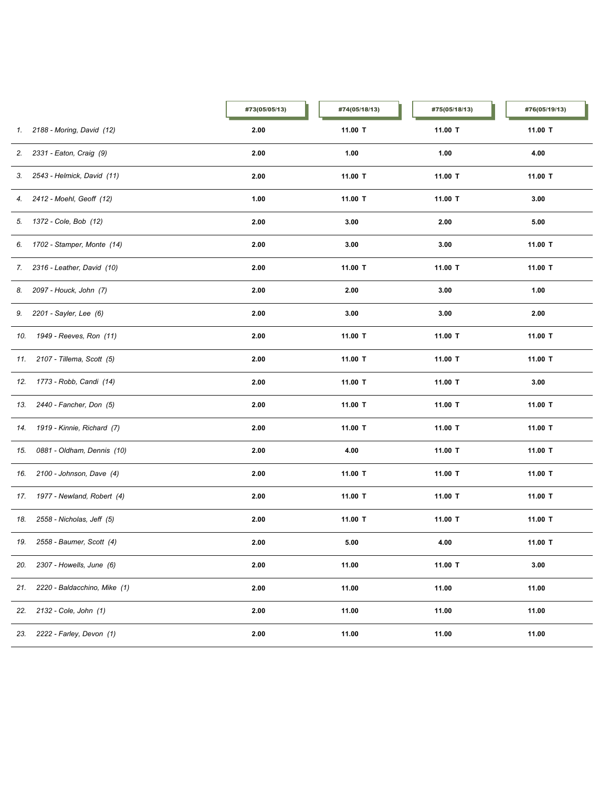|     |                                | #73(05/05/13) | #74(05/18/13) | #75(05/18/13) | #76(05/19/13) |
|-----|--------------------------------|---------------|---------------|---------------|---------------|
| 1.  | 2188 - Moring, David (12)      | 2.00          | 11.00 T       | 11.00 T       | 11.00 T       |
|     | 2. 2331 - Eaton, Craig (9)     | 2.00          | 1.00          | 1.00          | 4.00          |
|     | 3. 2543 - Helmick, David (11)  | 2.00          | 11.00 T       | 11.00 T       | 11.00 T       |
|     | 4. 2412 - Moehl, Geoff (12)    | 1.00          | 11.00 T       | 11.00 T       | 3.00          |
|     | 5. 1372 - Cole, Bob (12)       | 2.00          | 3.00          | 2.00          | 5.00          |
|     | 6. 1702 - Stamper, Monte (14)  | 2.00          | 3.00          | 3.00          | 11.00 T       |
|     | 7. 2316 - Leather, David (10)  | 2.00          | 11.00 T       | 11.00 T       | 11.00 T       |
|     | 8. 2097 - Houck, John (7)      | 2.00          | 2.00          | 3.00          | 1.00          |
|     | 9. 2201 - Sayler, Lee (6)      | 2.00          | 3.00          | 3.00          | 2.00          |
|     | 10. 1949 - Reeves, Ron (11)    | 2.00          | 11.00 T       | 11.00 T       | 11.00 T       |
|     | 11. 2107 - Tillema, Scott (5)  | 2.00          | 11.00 T       | 11.00 T       | 11.00 T       |
|     | 12. 1773 - Robb, Candi (14)    | 2.00          | 11.00 T       | 11.00 T       | 3.00          |
| 13. | 2440 - Fancher, Don (5)        | 2.00          | 11.00 T       | 11.00 T       | 11.00 T       |
| 14. | 1919 - Kinnie, Richard (7)     | 2.00          | 11.00 T       | 11.00 T       | 11.00 T       |
| 15. | 0881 - Oldham, Dennis (10)     | 2.00          | 4.00          | 11.00 T       | 11.00 T       |
| 16. | 2100 - Johnson, Dave (4)       | 2.00          | 11.00 T       | 11.00 T       | 11.00 T       |
|     | 17. 1977 - Newland, Robert (4) | 2.00          | 11.00 T       | 11.00 T       | 11.00 T       |
| 18. | 2558 - Nicholas, Jeff (5)      | 2.00          | 11.00 T       | 11.00 T       | 11.00 T       |
| 19. | 2558 - Baumer, Scott (4)       | 2.00          | 5.00          | 4.00          | 11.00 T       |
| 20. | 2307 - Howells, June (6)       | 2.00          | 11.00         | 11.00 T       | 3.00          |
| 21. | 2220 - Baldacchino, Mike (1)   | 2.00          | 11.00         | 11.00         | 11.00         |
| 22. | 2132 - Cole, John (1)          | 2.00          | 11.00         | 11.00         | 11.00         |
| 23. | 2222 - Farley, Devon (1)       | 2.00          | 11.00         | 11.00         | 11.00         |